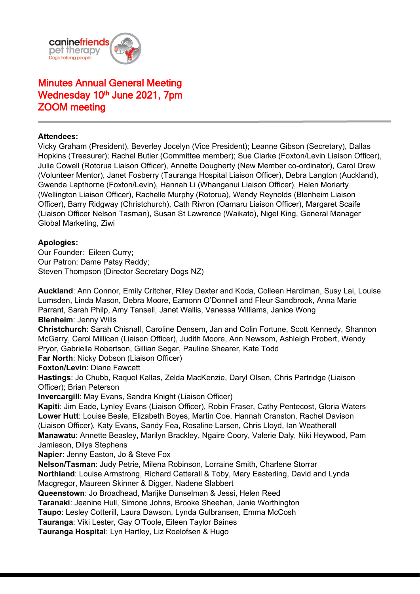

# Minutes Annual General Meeting Wednesday 10<sup>th</sup> June 2021, 7pm ZOOM meeting

## **Attendees:**

Vicky Graham (President), Beverley Jocelyn (Vice President); Leanne Gibson (Secretary), Dallas Hopkins (Treasurer); Rachel Butler (Committee member); Sue Clarke (Foxton/Levin Liaison Officer), Julie Cowell (Rotorua Liaison Officer), Annette Dougherty (New Member co-ordinator), Carol Drew (Volunteer Mentor), Janet Fosberry (Tauranga Hospital Liaison Officer), Debra Langton (Auckland), Gwenda Lapthorne (Foxton/Levin), Hannah Li (Whanganui Liaison Officer), Helen Moriarty (Wellington Liaison Officer), Rachelle Murphy (Rotorua), Wendy Reynolds (Blenheim Liaison Officer), Barry Ridgway (Christchurch), Cath Rivron (Oamaru Liaison Officer), Margaret Scaife (Liaison Officer Nelson Tasman), Susan St Lawrence (Waikato), Nigel King, General Manager Global Marketing, Ziwi

## **Apologies:**

Our Founder: Eileen Curry; Our Patron: Dame Patsy Reddy; Steven Thompson (Director Secretary Dogs NZ)

**Auckland**: Ann Connor, Emily Critcher, Riley Dexter and Koda, Colleen Hardiman, Susy Lai, Louise Lumsden, Linda Mason, Debra Moore, Eamonn O'Donnell and Fleur Sandbrook, Anna Marie Parrant, Sarah Philp, Amy Tansell, Janet Wallis, Vanessa Williams, Janice Wong **Blenheim**: Jenny Wills **Christchurch**: Sarah Chisnall, Caroline Densem, Jan and Colin Fortune, Scott Kennedy, Shannon McGarry, Carol Millican (Liaison Officer), Judith Moore, Ann Newsom, Ashleigh Probert, Wendy Pryor, Gabriella Robertson, Gillian Segar, Pauline Shearer, Kate Todd **Far North: Nicky Dobson (Liaison Officer) Foxton/Levin**: Diane Fawcett **Hastings**: Jo Chubb, Raquel Kallas, Zelda MacKenzie, Daryl Olsen, Chris Partridge (Liaison Officer); Brian Peterson **Invercargill**: May Evans, Sandra Knight (Liaison Officer) **Kapiti**: Jim Eade, Lynley Evans (Liaison Officer), Robin Fraser, Cathy Pentecost, Gloria Waters **Lower Hutt**: Louise Beale, Elizabeth Boyes, Martin Coe, Hannah Cranston, Rachel Davison (Liaison Officer), Katy Evans, Sandy Fea, Rosaline Larsen, Chris Lloyd, Ian Weatherall **Manawatu**: Annette Beasley, Marilyn Brackley, Ngaire Coory, Valerie Daly, Niki Heywood, Pam Jamieson, Dilys Stephens **Napier**: Jenny Easton, Jo & Steve Fox **Nelson/Tasman**: Judy Petrie, Milena Robinson, Lorraine Smith, Charlene Storrar **Northland**: Louise Armstrong, Richard Catterall & Toby, Mary Easterling, David and Lynda Macgregor, Maureen Skinner & Digger, Nadene Slabbert **Queenstown**: Jo Broadhead, Marijke Dunselman & Jessi, Helen Reed **Taranaki**: Jeanine Hull, Simone Johns, Brooke Sheehan, Janie Worthington **Taupo**: Lesley Cotterill, Laura Dawson, Lynda Gulbransen, Emma McCosh **Tauranga**: Viki Lester, Gay O'Toole, Eileen Taylor Baines **Tauranga Hospital**: Lyn Hartley, Liz Roelofsen & Hugo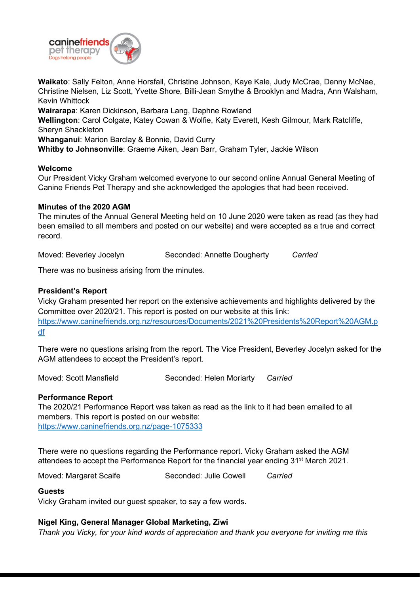

**Waikato**: Sally Felton, Anne Horsfall, Christine Johnson, Kaye Kale, Judy McCrae, Denny McNae, Christine Nielsen, Liz Scott, Yvette Shore, Billi-Jean Smythe & Brooklyn and Madra, Ann Walsham, Kevin Whittock

**Wairarapa**: Karen Dickinson, Barbara Lang, Daphne Rowland

**Wellington**: Carol Colgate, Katey Cowan & Wolfie, Katy Everett, Kesh Gilmour, Mark Ratcliffe, Sheryn Shackleton

**Whanganui**: Marion Barclay & Bonnie, David Curry

**Whitby to Johnsonville**: Graeme Aiken, Jean Barr, Graham Tyler, Jackie Wilson

## **Welcome**

Our President Vicky Graham welcomed everyone to our second online Annual General Meeting of Canine Friends Pet Therapy and she acknowledged the apologies that had been received.

#### **Minutes of the 2020 AGM**

The minutes of the Annual General Meeting held on 10 June 2020 were taken as read (as they had been emailed to all members and posted on our website) and were accepted as a true and correct record.

Moved: Beverley Jocelyn Seconded: Annette Dougherty *Carried*

There was no business arising from the minutes.

## **President's Report**

Vicky Graham presented her report on the extensive achievements and highlights delivered by the Committee over 2020/21. This report is posted on our website at this link: [https://www.caninefriends.org.nz/resources/Documents/2021%20Presidents%20Report%20AGM.p](https://www.caninefriends.org.nz/resources/Documents/2021%20Presidents%20Report%20AGM.pdf) [df](https://www.caninefriends.org.nz/resources/Documents/2021%20Presidents%20Report%20AGM.pdf)

There were no questions arising from the report. The Vice President, Beverley Jocelyn asked for the AGM attendees to accept the President's report.

Moved: Scott Mansfield **Seconded: Helen Moriarty** *Carried* 

#### **Performance Report**

The 2020/21 Performance Report was taken as read as the link to it had been emailed to all members. This report is posted on our website: <https://www.caninefriends.org.nz/page-1075333>

There were no questions regarding the Performance report. Vicky Graham asked the AGM attendees to accept the Performance Report for the financial year ending 31<sup>st</sup> March 2021.

Moved: Margaret Scaife **Seconded: Julie Cowell** Carried

#### **Guests**

Vicky Graham invited our guest speaker, to say a few words.

# **Nigel King, General Manager Global Marketing, Ziwi**

*Thank you Vicky, for your kind words of appreciation and thank you everyone for inviting me this*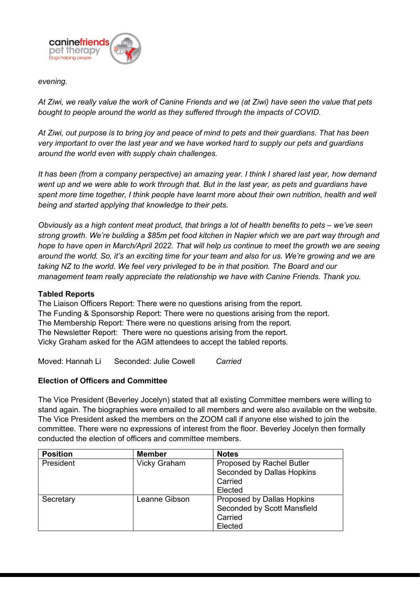

#### *evening.*

*At Ziwi, we really value the work of Canine Friends and we (at Ziwi) have seen the value that pets bought to people around the world as they suffered through the impacts of COVID.* 

*At Ziwi, out purpose is to bring joy and peace of mind to pets and their guardians. That has been very important to over the last year and we have worked hard to supply our pets and guardians around the world even with supply chain challenges.*

*It has been (from a company perspective) an amazing year. I think I shared last year, how demand went up and we were able to work through that. But in the last year, as pets and guardians have spent more time together, I think people have learnt more about their own nutrition, health and well being and started applying that knowledge to their pets.*

*Obviously as a high content meat product, that brings a lot of health benefits to pets – we've seen strong growth. We're building a \$85m pet food kitchen in Napier which we are part way through and hope to have open in March/April 2022. That will help us continue to meet the growth we are seeing around the world. So, it's an exciting time for your team and also for us. We're growing and we are taking NZ to the world. We feel very privileged to be in that position. The Board and our management team really appreciate the relationship we have with Canine Friends. Thank you.*

## **Tabled Reports**

The Liaison Officers Report: There were no questions arising from the report. The Funding & Sponsorship Report: There were no questions arising from the report. The Membership Report: There were no questions arising from the report. The Newsletter Report: There were no questions arising from the report. Vicky Graham asked for the AGM attendees to accept the tabled reports.

Moved: Hannah Li Seconded: Julie Cowell *Carried*

# **Election of Officers and Committee**

The Vice President (Beverley Jocelyn) stated that all existing Committee members were willing to stand again. The biographies were emailed to all members and were also available on the website. The Vice President asked the members on the ZOOM call if anyone else wished to join the committee. There were no expressions of interest from the floor. Beverley Jocelyn then formally conducted the election of officers and committee members.

| <b>Position</b> | <b>Member</b>       | <b>Notes</b>                      |
|-----------------|---------------------|-----------------------------------|
| President       | <b>Vicky Graham</b> | Proposed by Rachel Butler         |
|                 |                     | Seconded by Dallas Hopkins        |
|                 |                     | Carried                           |
|                 |                     | Elected                           |
| Secretary       | Leanne Gibson       | <b>Proposed by Dallas Hopkins</b> |
|                 |                     | Seconded by Scott Mansfield       |
|                 |                     | Carried                           |
|                 |                     | Elected                           |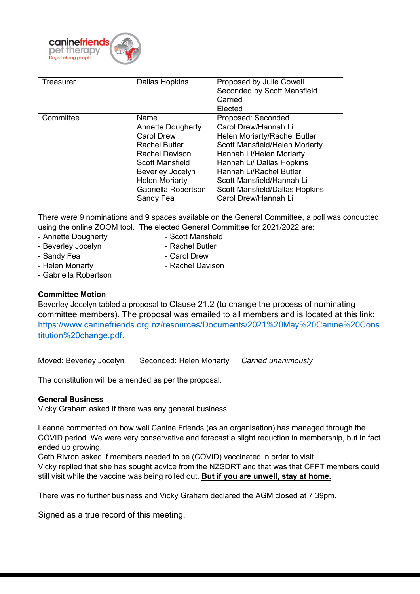

| <b>Treasurer</b> | <b>Dallas Hopkins</b>                                                                                                                                                                                      | Proposed by Julie Cowell<br>Seconded by Scott Mansfield<br>Carried<br>Elected                                                                                                                                                                                                                  |
|------------------|------------------------------------------------------------------------------------------------------------------------------------------------------------------------------------------------------------|------------------------------------------------------------------------------------------------------------------------------------------------------------------------------------------------------------------------------------------------------------------------------------------------|
| Committee        | Name<br><b>Annette Dougherty</b><br><b>Carol Drew</b><br><b>Rachel Butler</b><br><b>Rachel Davison</b><br>Scott Mansfield<br>Beverley Jocelyn<br><b>Helen Moriarty</b><br>Gabriella Robertson<br>Sandy Fea | Proposed: Seconded<br>Carol Drew/Hannah Li<br>Helen Moriarty/Rachel Butler<br>Scott Mansfield/Helen Moriarty<br>Hannah Li/Helen Moriarty<br>Hannah Li/ Dallas Hopkins<br>Hannah Li/Rachel Butler<br>Scott Mansfield/Hannah Li<br><b>Scott Mansfield/Dallas Hopkins</b><br>Carol Drew/Hannah Li |

There were 9 nominations and 9 spaces available on the General Committee, a poll was conducted using the online ZOOM tool. The elected General Committee for 2021/2022 are:

- Annette Dougherty  **Scott Mansfield**
- 
- Beverley Jocelyn  **Rachel Butler** 
	-
- Sandy Fea Carol Drew
	-
- Helen Moriarty  **Rachel Davison**
- Gabriella Robertson

# **Committee Motion**

Beverley Jocelyn tabled a proposal to Clause 21.2 (to change the process of nominating committee members). The proposal was emailed to all members and is located at this link: [https://www.caninefriends.org.nz/resources/Documents/2021%20May%20Canine%20Cons](https://www.caninefriends.org.nz/resources/Documents/2021%20May%20Canine%20Constitution%20change.pdf) [titution%20change.pdf.](https://www.caninefriends.org.nz/resources/Documents/2021%20May%20Canine%20Constitution%20change.pdf)

Moved: Beverley Jocelyn Seconded: Helen Moriarty *Carried unanimously*

The constitution will be amended as per the proposal.

# **General Business**

Vicky Graham asked if there was any general business.

Leanne commented on how well Canine Friends (as an organisation) has managed through the COVID period. We were very conservative and forecast a slight reduction in membership, but in fact ended up growing.

Cath Rivron asked if members needed to be (COVID) vaccinated in order to visit. Vicky replied that she has sought advice from the NZSDRT and that was that CFPT members could still visit while the vaccine was being rolled out. **But if you are unwell, stay at home.**

There was no further business and Vicky Graham declared the AGM closed at 7:39pm.

Signed as a true record of this meeting.